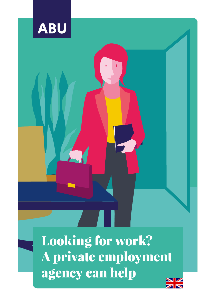

Looking for work? A private employment agency can help

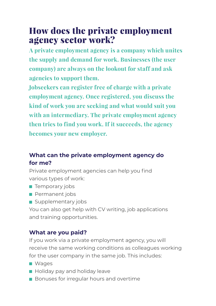# How does the private employment agency sector work?

**A private employment agency is a company which unites the supply and demand for work. Businesses (the user company) are always on the lookout for staff and ask agencies to support them.**

**Jobseekers can register free of charge with a private employment agency. Once registered, you discuss the kind of work you are seeking and what would suit you with an intermediary. The private employment agency then tries to find you work. If it succeeds, the agency becomes your new employer.**

## **What can the private employment agency do for me?**

Private employment agencies can help you find various types of work:

- $\blacksquare$  Temporary jobs
- **Permanent jobs**
- Supplementary jobs

You can also get help with CV writing, job applications and training opportunities.

## **What are you paid?**

If you work via a private employment agency, you will receive the same working conditions as colleagues working for the user company in the same job. This includes:

- **Nages**
- **Holiday pay and holiday leave**
- **Bonuses for irregular hours and overtime**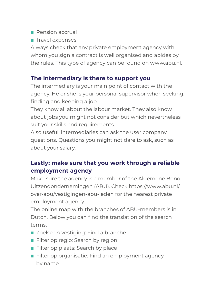### **Pension accrual**

 $\blacksquare$  Travel expenses

Always check that any private employment agency with whom you sign a contract is well organised and abides by the rules. This type of agency can be found on www.abu.nl.

## **The intermediary is there to support you**

The intermediary is your main point of contact with the agency. He or she is your personal supervisor when seeking, finding and keeping a job.

They know all about the labour market. They also know about jobs you might not consider but which nevertheless suit your skills and requirements.

Also useful: intermediaries can ask the user company questions. Questions you might not dare to ask, such as about your salary.

## **Lastly: make sure that you work through a reliable employment agency**

Make sure the agency is a member of the Algemene Bond Uitzendondernemingen (ABU). Check [https://www.abu.nl/](https://www.abu.nl/over-abu/vestigingen-abu-leden) [over-abu/vestigingen-abu-leden](https://www.abu.nl/over-abu/vestigingen-abu-leden) for the nearest private employment agency.

The online map with the branches of ABU-members is in Dutch. Below you can find the translation of the search terms.

- Zoek een vestiging: Find a branche
- Filter op regio: Search by region
- Filter op plaats: Search by place
- **Filter op organisatie: Find an employment agency** by name